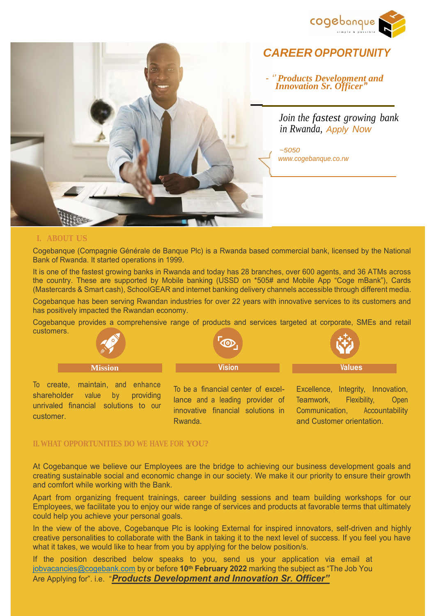



*CAREER OPPORTUNIT* 

 *- '' Products Development and Innovation Sr. Officer'***'**

> *Join the fastest growing bank in Rwanda, Apply Now*

*~5050 [www.cogebanque.co.rw](http://www.cogebanque.co.rw/)*

## **I. ABOUT US**

Cogebanque (Compagnie Générale de Banque Plc) is a Rwanda based commercial bank, licensed by the National Bank of Rwanda. It started operations in 1999.

It is one of the fastest growing banks in Rwanda and today has 28 branches, over 600 agents, and 36 ATMs across the country. These are supported by Mobile banking (USSD on \*505# and Mobile App "Coge mBank"), Cards (Mastercards & Smart cash), SchoolGEAR and internet banking delivery channels accessible through different media.

Cogebanque has been serving Rwandan industries for over 22 years with innovative services to its customers and has positively impacted the Rwandan economy.

Cogebanque provides a comprehensive range of products and services targeted at corporate, SMEs and retail customers.



To create, maintain, and enhance shareholder value by providing unrivaled financial solutions to our customer.

To be a financial center of excellance and a leading provider of innovative financial solutions in Rwanda.

Excellence, Integrity, Innovation, Teamwork, Flexibility, Open Communication, Accountability and Customer orientation.

## **II. WHAT OPPORTUNITIES DO WE HAVE FOR YOU?**

At Cogebanque we believe our Employees are the bridge to achieving our business development goals and creating sustainable social and economic change in our society. We make it our priority to ensure their growth and comfort while working with the Bank.

Apart from organizing frequent trainings, career building sessions and team building workshops for our Employees, we facilitate you to enjoy our wide range of services and products at favorable terms that ultimately could help you achieve your personal goals.

In the view of the above, Cogebanque Plc is looking External for inspired innovators, self-driven and highly creative personalities to collaborate with the Bank in taking it to the next level of success. If you feel you have what it takes, we would like to hear from you by applying for the below position/s.

If the position described below speaks to you, send us your application via email at [jobvacancies@cogebank.com](mailto:jobvacancies@cogebank.com) by or before **10th February 2022** marking the subject as "The Job You Are Applying for". i.e. "*Products Development and Innovation Sr. Officer"*